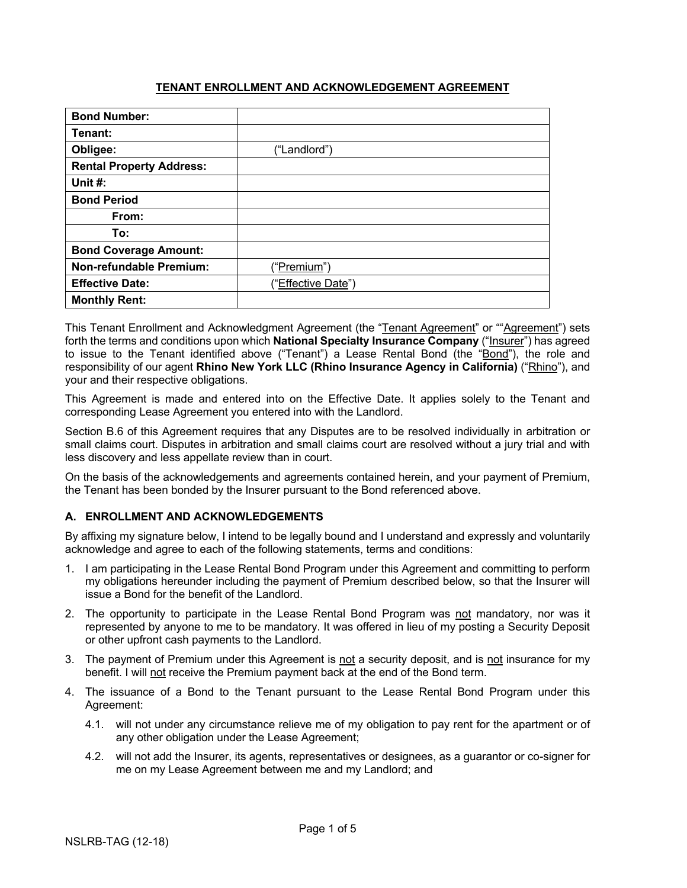#### **TENANT ENROLLMENT AND ACKNOWLEDGEMENT AGREEMENT**

| <b>Bond Number:</b>             |                      |
|---------------------------------|----------------------|
| Tenant:                         |                      |
| Obligee:                        | ("Landlord")         |
| <b>Rental Property Address:</b> |                      |
| Unit #:                         |                      |
| <b>Bond Period</b>              |                      |
| From:                           |                      |
| To:                             |                      |
| <b>Bond Coverage Amount:</b>    |                      |
| <b>Non-refundable Premium:</b>  | (" <u>Premium</u> ") |
| <b>Effective Date:</b>          | ("Effective Date")   |
| <b>Monthly Rent:</b>            |                      |

This Tenant Enrollment and Acknowledgment Agreement (the "Tenant Agreement" or ""Agreement") sets forth the terms and conditions upon which **National Specialty Insurance Company** ("Insurer") has agreed to issue to the Tenant identified above ("Tenant") a Lease Rental Bond (the "Bond"), the role and responsibility of our agent **Rhino New York LLC (Rhino Insurance Agency in California)** ("Rhino"), and your and their respective obligations.

This Agreement is made and entered into on the Effective Date. It applies solely to the Tenant and corresponding Lease Agreement you entered into with the Landlord.

Section B.6 of this Agreement requires that any Disputes are to be resolved individually in arbitration or small claims court. Disputes in arbitration and small claims court are resolved without a jury trial and with less discovery and less appellate review than in court.

On the basis of the acknowledgements and agreements contained herein, and your payment of Premium, the Tenant has been bonded by the Insurer pursuant to the Bond referenced above.

# **A. ENROLLMENT AND ACKNOWLEDGEMENTS**

By affixing my signature below, I intend to be legally bound and I understand and expressly and voluntarily acknowledge and agree to each of the following statements, terms and conditions:

- 1. I am participating in the Lease Rental Bond Program under this Agreement and committing to perform my obligations hereunder including the payment of Premium described below, so that the Insurer will issue a Bond for the benefit of the Landlord.
- 2. The opportunity to participate in the Lease Rental Bond Program was not mandatory, nor was it represented by anyone to me to be mandatory. It was offered in lieu of my posting a Security Deposit or other upfront cash payments to the Landlord.
- 3. The payment of Premium under this Agreement is not a security deposit, and is not insurance for my benefit. I will not receive the Premium payment back at the end of the Bond term.
- 4. The issuance of a Bond to the Tenant pursuant to the Lease Rental Bond Program under this Agreement:
	- 4.1. will not under any circumstance relieve me of my obligation to pay rent for the apartment or of any other obligation under the Lease Agreement;
	- 4.2. will not add the Insurer, its agents, representatives or designees, as a guarantor or co-signer for me on my Lease Agreement between me and my Landlord; and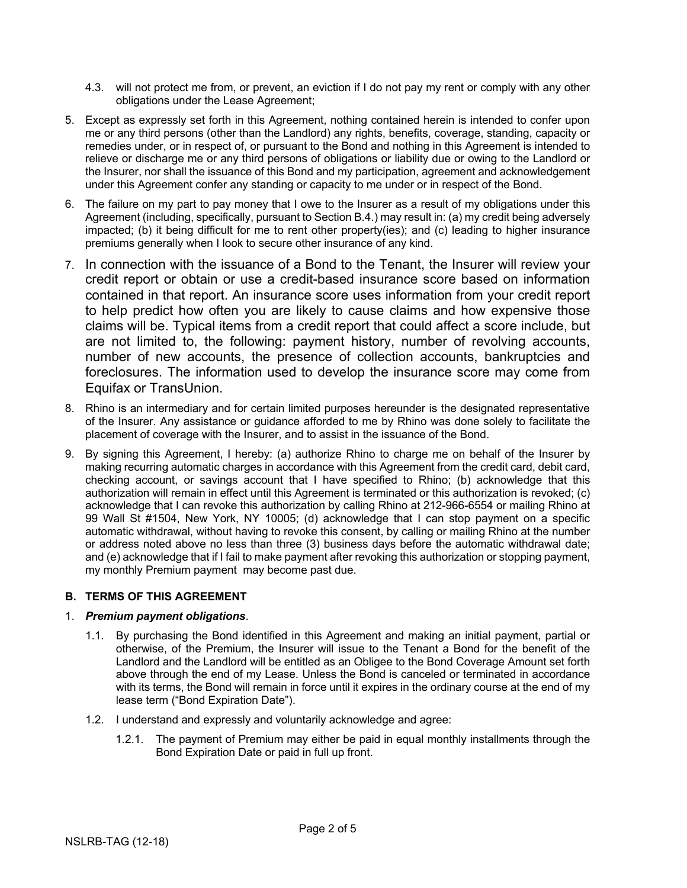- 4.3. will not protect me from, or prevent, an eviction if I do not pay my rent or comply with any other obligations under the Lease Agreement;
- 5. Except as expressly set forth in this Agreement, nothing contained herein is intended to confer upon me or any third persons (other than the Landlord) any rights, benefits, coverage, standing, capacity or remedies under, or in respect of, or pursuant to the Bond and nothing in this Agreement is intended to relieve or discharge me or any third persons of obligations or liability due or owing to the Landlord or the Insurer, nor shall the issuance of this Bond and my participation, agreement and acknowledgement under this Agreement confer any standing or capacity to me under or in respect of the Bond.
- 6. The failure on my part to pay money that I owe to the Insurer as a result of my obligations under this Agreement (including, specifically, pursuant to Section B.4.) may result in: (a) my credit being adversely impacted; (b) it being difficult for me to rent other property(ies); and (c) leading to higher insurance premiums generally when I look to secure other insurance of any kind.
- 7. In connection with the issuance of a Bond to the Tenant, the Insurer will review your credit report or obtain or use a credit-based insurance score based on information contained in that report. An insurance score uses information from your credit report to help predict how often you are likely to cause claims and how expensive those claims will be. Typical items from a credit report that could affect a score include, but are not limited to, the following: payment history, number of revolving accounts, number of new accounts, the presence of collection accounts, bankruptcies and foreclosures. The information used to develop the insurance score may come from Equifax or TransUnion.
- 8. Rhino is an intermediary and for certain limited purposes hereunder is the designated representative of the Insurer. Any assistance or guidance afforded to me by Rhino was done solely to facilitate the placement of coverage with the Insurer, and to assist in the issuance of the Bond.
- 9. By signing this Agreement, I hereby: (a) authorize Rhino to charge me on behalf of the Insurer by making recurring automatic charges in accordance with this Agreement from the credit card, debit card, checking account, or savings account that I have specified to Rhino; (b) acknowledge that this authorization will remain in effect until this Agreement is terminated or this authorization is revoked; (c) acknowledge that I can revoke this authorization by calling Rhino at 212-966-6554 or mailing Rhino at 99 Wall St #1504, New York, NY 10005; (d) acknowledge that I can stop payment on a specific automatic withdrawal, without having to revoke this consent, by calling or mailing Rhino at the number or address noted above no less than three (3) business days before the automatic withdrawal date; and (e) acknowledge that if I fail to make payment after revoking this authorization or stopping payment, my monthly Premium payment may become past due.

# **B. TERMS OF THIS AGREEMENT**

# 1. *Premium payment obligations*.

- 1.1. By purchasing the Bond identified in this Agreement and making an initial payment, partial or otherwise, of the Premium, the Insurer will issue to the Tenant a Bond for the benefit of the Landlord and the Landlord will be entitled as an Obligee to the Bond Coverage Amount set forth above through the end of my Lease. Unless the Bond is canceled or terminated in accordance with its terms, the Bond will remain in force until it expires in the ordinary course at the end of my lease term ("Bond Expiration Date").
- 1.2. I understand and expressly and voluntarily acknowledge and agree:
	- 1.2.1. The payment of Premium may either be paid in equal monthly installments through the Bond Expiration Date or paid in full up front.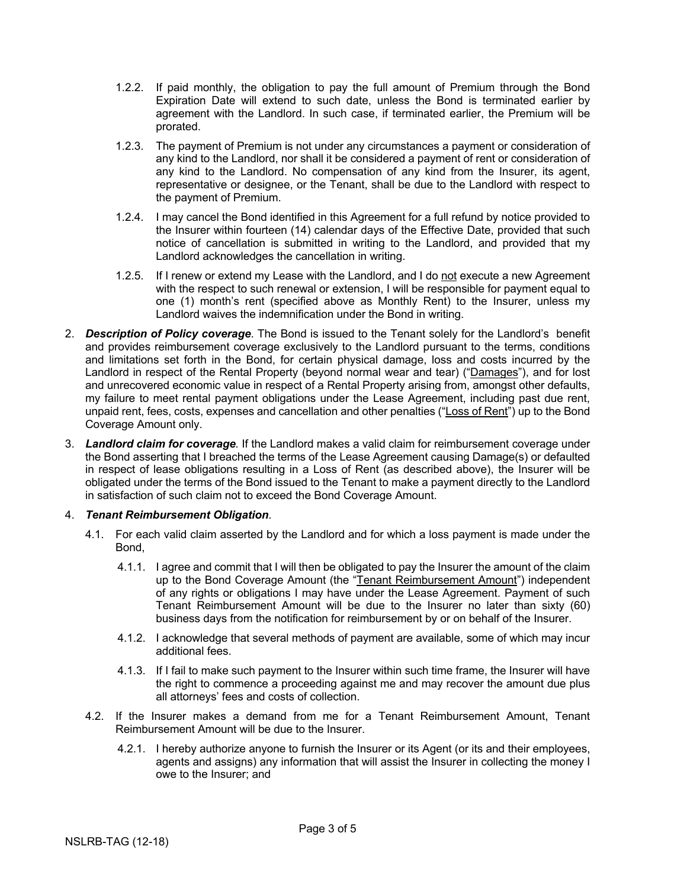- 1.2.2. If paid monthly, the obligation to pay the full amount of Premium through the Bond Expiration Date will extend to such date, unless the Bond is terminated earlier by agreement with the Landlord. In such case, if terminated earlier, the Premium will be prorated.
- 1.2.3. The payment of Premium is not under any circumstances a payment or consideration of any kind to the Landlord, nor shall it be considered a payment of rent or consideration of any kind to the Landlord. No compensation of any kind from the Insurer, its agent, representative or designee, or the Tenant, shall be due to the Landlord with respect to the payment of Premium.
- 1.2.4. I may cancel the Bond identified in this Agreement for a full refund by notice provided to the Insurer within fourteen (14) calendar days of the Effective Date, provided that such notice of cancellation is submitted in writing to the Landlord, and provided that my Landlord acknowledges the cancellation in writing.
- 1.2.5. If I renew or extend my Lease with the Landlord, and I do not execute a new Agreement with the respect to such renewal or extension, I will be responsible for payment equal to one (1) month's rent (specified above as Monthly Rent) to the Insurer, unless my Landlord waives the indemnification under the Bond in writing.
- 2. *Description of Policy coverage*. The Bond is issued to the Tenant solely for the Landlord's benefit and provides reimbursement coverage exclusively to the Landlord pursuant to the terms, conditions and limitations set forth in the Bond, for certain physical damage, loss and costs incurred by the Landlord in respect of the Rental Property (beyond normal wear and tear) ("Damages"), and for lost and unrecovered economic value in respect of a Rental Property arising from, amongst other defaults, my failure to meet rental payment obligations under the Lease Agreement, including past due rent, unpaid rent, fees, costs, expenses and cancellation and other penalties ("Loss of Rent") up to the Bond Coverage Amount only.
- 3. *Landlord claim for coverage.* If the Landlord makes a valid claim for reimbursement coverage under the Bond asserting that I breached the terms of the Lease Agreement causing Damage(s) or defaulted in respect of lease obligations resulting in a Loss of Rent (as described above), the Insurer will be obligated under the terms of the Bond issued to the Tenant to make a payment directly to the Landlord in satisfaction of such claim not to exceed the Bond Coverage Amount.

#### 4. *Tenant Reimbursement Obligation*.

- 4.1. For each valid claim asserted by the Landlord and for which a loss payment is made under the Bond,
	- 4.1.1. I agree and commit that I will then be obligated to pay the Insurer the amount of the claim up to the Bond Coverage Amount (the "Tenant Reimbursement Amount") independent of any rights or obligations I may have under the Lease Agreement. Payment of such Tenant Reimbursement Amount will be due to the Insurer no later than sixty (60) business days from the notification for reimbursement by or on behalf of the Insurer.
	- 4.1.2. I acknowledge that several methods of payment are available, some of which may incur additional fees.
	- 4.1.3. If I fail to make such payment to the Insurer within such time frame, the Insurer will have the right to commence a proceeding against me and may recover the amount due plus all attorneys' fees and costs of collection.
- 4.2. If the Insurer makes a demand from me for a Tenant Reimbursement Amount, Tenant Reimbursement Amount will be due to the Insurer.
	- 4.2.1. I hereby authorize anyone to furnish the Insurer or its Agent (or its and their employees, agents and assigns) any information that will assist the Insurer in collecting the money I owe to the Insurer; and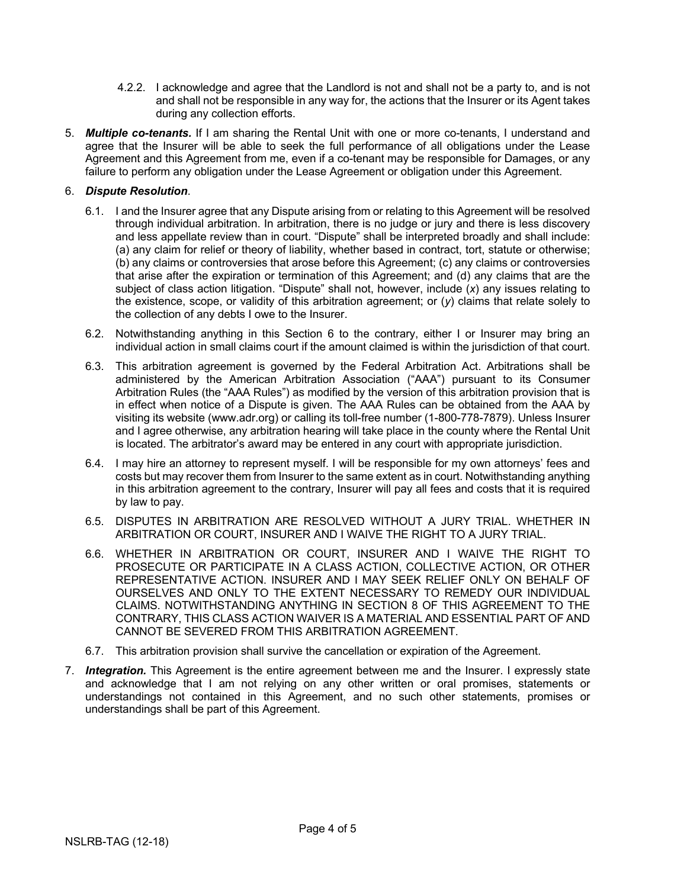- 4.2.2. I acknowledge and agree that the Landlord is not and shall not be a party to, and is not and shall not be responsible in any way for, the actions that the Insurer or its Agent takes during any collection efforts.
- 5. *Multiple co-tenants.* If I am sharing the Rental Unit with one or more co-tenants, I understand and agree that the Insurer will be able to seek the full performance of all obligations under the Lease Agreement and this Agreement from me, even if a co-tenant may be responsible for Damages, or any failure to perform any obligation under the Lease Agreement or obligation under this Agreement.

# 6. *Dispute Resolution*.

- 6.1. I and the Insurer agree that any Dispute arising from or relating to this Agreement will be resolved through individual arbitration. In arbitration, there is no judge or jury and there is less discovery and less appellate review than in court. "Dispute" shall be interpreted broadly and shall include: (a) any claim for relief or theory of liability, whether based in contract, tort, statute or otherwise; (b) any claims or controversies that arose before this Agreement; (c) any claims or controversies that arise after the expiration or termination of this Agreement; and (d) any claims that are the subject of class action litigation. "Dispute" shall not, however, include (*x*) any issues relating to the existence, scope, or validity of this arbitration agreement; or (*y*) claims that relate solely to the collection of any debts I owe to the Insurer.
- 6.2. Notwithstanding anything in this Section 6 to the contrary, either I or Insurer may bring an individual action in small claims court if the amount claimed is within the jurisdiction of that court.
- 6.3. This arbitration agreement is governed by the Federal Arbitration Act. Arbitrations shall be administered by the American Arbitration Association ("AAA") pursuant to its Consumer Arbitration Rules (the "AAA Rules") as modified by the version of this arbitration provision that is in effect when notice of a Dispute is given. The AAA Rules can be obtained from the AAA by visiting its website (www.adr.org) or calling its toll-free number (1-800-778-7879). Unless Insurer and I agree otherwise, any arbitration hearing will take place in the county where the Rental Unit is located. The arbitrator's award may be entered in any court with appropriate jurisdiction.
- 6.4. I may hire an attorney to represent myself. I will be responsible for my own attorneys' fees and costs but may recover them from Insurer to the same extent as in court. Notwithstanding anything in this arbitration agreement to the contrary, Insurer will pay all fees and costs that it is required by law to pay.
- 6.5. DISPUTES IN ARBITRATION ARE RESOLVED WITHOUT A JURY TRIAL. WHETHER IN ARBITRATION OR COURT, INSURER AND I WAIVE THE RIGHT TO A JURY TRIAL.
- 6.6. WHETHER IN ARBITRATION OR COURT, INSURER AND I WAIVE THE RIGHT TO PROSECUTE OR PARTICIPATE IN A CLASS ACTION, COLLECTIVE ACTION, OR OTHER REPRESENTATIVE ACTION. INSURER AND I MAY SEEK RELIEF ONLY ON BEHALF OF OURSELVES AND ONLY TO THE EXTENT NECESSARY TO REMEDY OUR INDIVIDUAL CLAIMS. NOTWITHSTANDING ANYTHING IN SECTION 8 OF THIS AGREEMENT TO THE CONTRARY, THIS CLASS ACTION WAIVER IS A MATERIAL AND ESSENTIAL PART OF AND CANNOT BE SEVERED FROM THIS ARBITRATION AGREEMENT.
- 6.7. This arbitration provision shall survive the cancellation or expiration of the Agreement.
- 7. *Integration.* This Agreement is the entire agreement between me and the Insurer. I expressly state and acknowledge that I am not relying on any other written or oral promises, statements or understandings not contained in this Agreement, and no such other statements, promises or understandings shall be part of this Agreement.